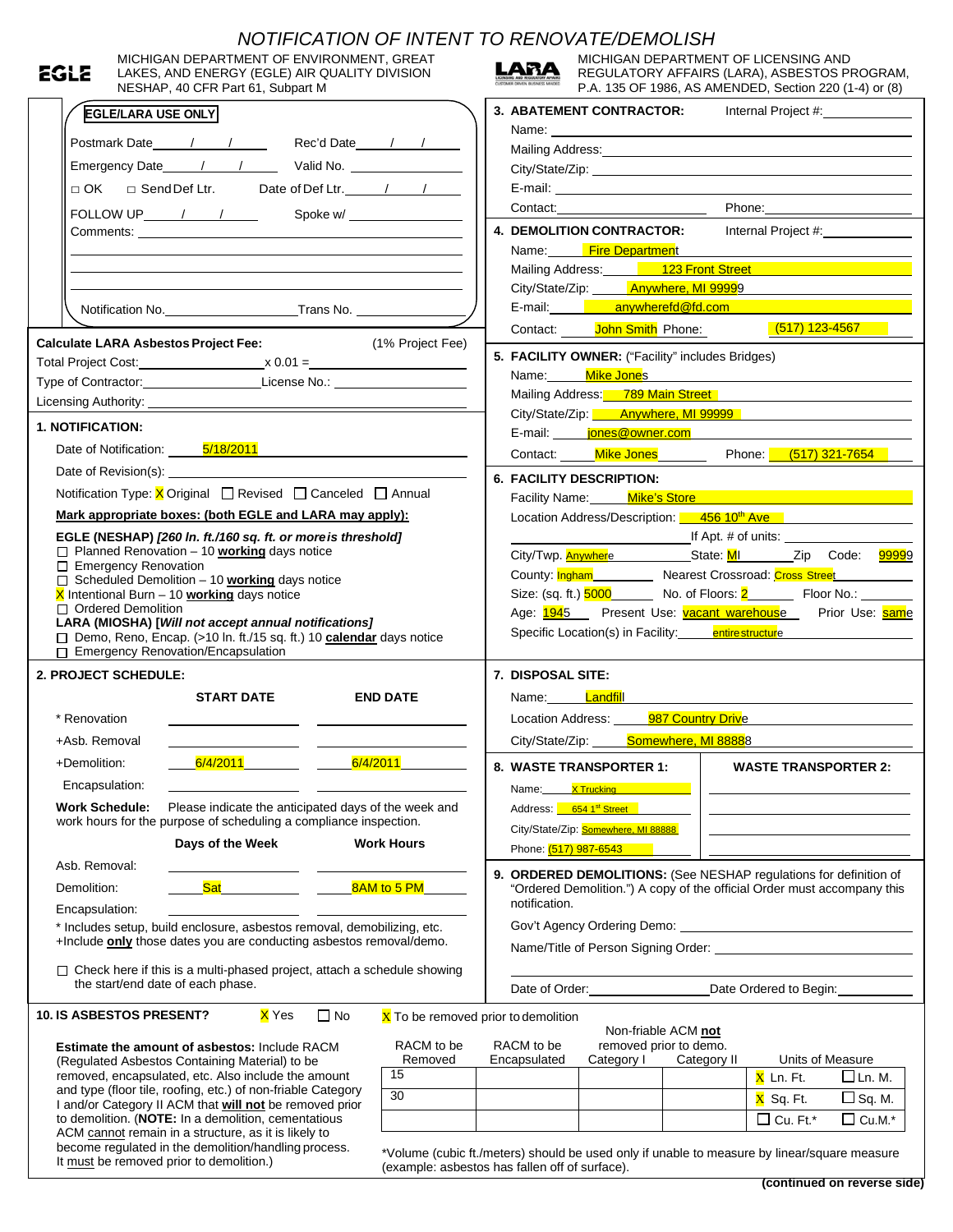| NOTIFICATION OF INTENT TO RENOVATE/DEMOLISH<br>MICHIGAN DEPARTMENT OF ENVIRONMENT, GREAT<br>Egle<br>LAKES, AND ENERGY (EGLE) AIR QUALITY DIVISION<br>NESHAP, 40 CFR Part 61, Subpart M                                                                                                         |                                                                                                                                                                                                                                                                                                                                                  | LARA                                             | MICHIGAN DEPARTMENT OF LICENSING AND<br>REGULATORY AFFAIRS (LARA), ASBESTOS PROGRAM,<br>P.A. 135 OF 1986, AS AMENDED, Section 220 (1-4) or (8)                                                                                      |                                       |                  |  |
|------------------------------------------------------------------------------------------------------------------------------------------------------------------------------------------------------------------------------------------------------------------------------------------------|--------------------------------------------------------------------------------------------------------------------------------------------------------------------------------------------------------------------------------------------------------------------------------------------------------------------------------------------------|--------------------------------------------------|-------------------------------------------------------------------------------------------------------------------------------------------------------------------------------------------------------------------------------------|---------------------------------------|------------------|--|
| <b>EGLE/LARA USE ONLY</b>                                                                                                                                                                                                                                                                      |                                                                                                                                                                                                                                                                                                                                                  |                                                  | 3. ABATEMENT CONTRACTOR:                                                                                                                                                                                                            | Internal Project #:                   |                  |  |
|                                                                                                                                                                                                                                                                                                |                                                                                                                                                                                                                                                                                                                                                  |                                                  |                                                                                                                                                                                                                                     |                                       |                  |  |
| Postmark Date 1 / / Rec'd Date / /                                                                                                                                                                                                                                                             |                                                                                                                                                                                                                                                                                                                                                  |                                                  |                                                                                                                                                                                                                                     |                                       |                  |  |
| Emergency Date 1 1 1 Valid No.                                                                                                                                                                                                                                                                 |                                                                                                                                                                                                                                                                                                                                                  |                                                  |                                                                                                                                                                                                                                     |                                       |                  |  |
| □ OK □ Send Def Ltr. Date of Def Ltr. / /                                                                                                                                                                                                                                                      |                                                                                                                                                                                                                                                                                                                                                  |                                                  |                                                                                                                                                                                                                                     |                                       |                  |  |
| FOLLOW UP $\qquad$ / $\qquad$                                                                                                                                                                                                                                                                  | Spoke w/                                                                                                                                                                                                                                                                                                                                         |                                                  | Contact: Phone: Phone:                                                                                                                                                                                                              |                                       |                  |  |
|                                                                                                                                                                                                                                                                                                |                                                                                                                                                                                                                                                                                                                                                  |                                                  |                                                                                                                                                                                                                                     |                                       |                  |  |
|                                                                                                                                                                                                                                                                                                | Name: Fire Department<br>Mailing Address: 123 Front Street                                                                                                                                                                                                                                                                                       |                                                  |                                                                                                                                                                                                                                     |                                       |                  |  |
|                                                                                                                                                                                                                                                                                                |                                                                                                                                                                                                                                                                                                                                                  |                                                  |                                                                                                                                                                                                                                     |                                       |                  |  |
|                                                                                                                                                                                                                                                                                                |                                                                                                                                                                                                                                                                                                                                                  |                                                  | City/State/Zip: <b>Anywhere, MI 9999</b> 9<br>E-mail: anywherefd@fd.com                                                                                                                                                             |                                       |                  |  |
| Notification No. Trans No.                                                                                                                                                                                                                                                                     |                                                                                                                                                                                                                                                                                                                                                  |                                                  | Contact: John Smith Phone: (517) 123-4567                                                                                                                                                                                           |                                       |                  |  |
| <b>Calculate LARA Asbestos Project Fee:</b>                                                                                                                                                                                                                                                    | (1% Project Fee)                                                                                                                                                                                                                                                                                                                                 |                                                  | 5. FACILITY OWNER: ("Facility" includes Bridges)                                                                                                                                                                                    |                                       |                  |  |
| Type of Contractor: License No.: License No.:                                                                                                                                                                                                                                                  |                                                                                                                                                                                                                                                                                                                                                  |                                                  | Name: Mike Jones                                                                                                                                                                                                                    |                                       |                  |  |
|                                                                                                                                                                                                                                                                                                |                                                                                                                                                                                                                                                                                                                                                  |                                                  | Mailing Address: 789 Main Street                                                                                                                                                                                                    |                                       |                  |  |
|                                                                                                                                                                                                                                                                                                |                                                                                                                                                                                                                                                                                                                                                  |                                                  | City/State/Zip: <b>Anywhere, MI 99999</b>                                                                                                                                                                                           |                                       |                  |  |
| 1. NOTIFICATION:                                                                                                                                                                                                                                                                               |                                                                                                                                                                                                                                                                                                                                                  |                                                  | E-mail: jones@owner.com                                                                                                                                                                                                             |                                       |                  |  |
| Date of Notification: 5/18/2011                                                                                                                                                                                                                                                                |                                                                                                                                                                                                                                                                                                                                                  |                                                  | Contact: Mike Jones Phone: (517) 321-7654                                                                                                                                                                                           |                                       |                  |  |
|                                                                                                                                                                                                                                                                                                |                                                                                                                                                                                                                                                                                                                                                  | 6. FACILITY DESCRIPTION:                         |                                                                                                                                                                                                                                     |                                       |                  |  |
| Notification Type: X Original □ Revised □ Canceled □ Annual                                                                                                                                                                                                                                    |                                                                                                                                                                                                                                                                                                                                                  |                                                  | Facility Name: Mike's Store <b>Michael Acids</b> (Mathematic Contract of the Michael Acids of the Michael Acids of the Michael Acids of the Michael Acids of the Michael Acids of the Michael Acids of the Michael Acids of the Mic |                                       |                  |  |
| Mark appropriate boxes: (both EGLE and LARA may apply):                                                                                                                                                                                                                                        |                                                                                                                                                                                                                                                                                                                                                  |                                                  | Location Address/Description: 456 10 <sup>th</sup> Ave                                                                                                                                                                              |                                       |                  |  |
| EGLE (NESHAP) [260 In. ft./160 sq. ft. or more is threshold]<br>$\Box$ Planned Renovation - 10 <b>working</b> days notice<br>$\Box$ Emergency Renovation<br>$\Box$ Scheduled Demolition - 10 <b>working</b> days notice<br>X Intentional Burn - 10 working days notice<br>□ Ordered Demolition | <b>If Apt. # of units:</b><br>City/Twp. Anywhere _____________State: MI __________Zip Code: 99999<br>County: <b>Ingham</b> Nearest Crossroad: Cross Street<br>Size: (sq. ft.) $\frac{5000}{2}$ No. of Floors: 2 Floor No.: _____<br>Age: 1945 Present Use: vacant warehouse Prior Use: same<br>Specific Location(s) in Facility: entirestructure |                                                  |                                                                                                                                                                                                                                     |                                       |                  |  |
| LARA (MIOSHA) [Will not accept annual notifications]<br>Demo, Reno, Encap. (>10 In. ft./15 sq. ft.) 10 calendar days notice<br>□ Emergency Renovation/Encapsulation                                                                                                                            |                                                                                                                                                                                                                                                                                                                                                  |                                                  |                                                                                                                                                                                                                                     |                                       |                  |  |
| 2. PROJECT SCHEDULE:                                                                                                                                                                                                                                                                           |                                                                                                                                                                                                                                                                                                                                                  | 7. DISPOSAL SITE:                                |                                                                                                                                                                                                                                     |                                       |                  |  |
| <b>START DATE</b>                                                                                                                                                                                                                                                                              | <b>END DATE</b>                                                                                                                                                                                                                                                                                                                                  |                                                  | Name: <mark>Landfil</mark> l                                                                                                                                                                                                        |                                       |                  |  |
| * Renovation                                                                                                                                                                                                                                                                                   |                                                                                                                                                                                                                                                                                                                                                  | Location Address:                                | 987 Country Drive                                                                                                                                                                                                                   |                                       |                  |  |
| +Asb. Removal                                                                                                                                                                                                                                                                                  |                                                                                                                                                                                                                                                                                                                                                  |                                                  | City/State/Zip: <b>Somewhere, MI 88888</b>                                                                                                                                                                                          |                                       |                  |  |
| 6/4/2011 <b>6/4/2011</b><br>+Demolition:                                                                                                                                                                                                                                                       | 6/4/2011                                                                                                                                                                                                                                                                                                                                         |                                                  |                                                                                                                                                                                                                                     |                                       |                  |  |
|                                                                                                                                                                                                                                                                                                |                                                                                                                                                                                                                                                                                                                                                  |                                                  | 8. WASTE TRANSPORTER 1:                                                                                                                                                                                                             | <b>WASTE TRANSPORTER 2:</b>           |                  |  |
| Encapsulation:<br><b>Work Schedule:</b>                                                                                                                                                                                                                                                        |                                                                                                                                                                                                                                                                                                                                                  | Name:                                            | <b>X Trucking Manufacturer</b>                                                                                                                                                                                                      |                                       |                  |  |
| Please indicate the anticipated days of the week and<br>work hours for the purpose of scheduling a compliance inspection.                                                                                                                                                                      |                                                                                                                                                                                                                                                                                                                                                  |                                                  | Address: 654 1st Street                                                                                                                                                                                                             |                                       |                  |  |
| Days of the Week                                                                                                                                                                                                                                                                               | <b>Work Hours</b>                                                                                                                                                                                                                                                                                                                                |                                                  | City/State/Zip: Somewhere, MI 88888                                                                                                                                                                                                 |                                       |                  |  |
| Asb. Removal:                                                                                                                                                                                                                                                                                  |                                                                                                                                                                                                                                                                                                                                                  |                                                  | Phone: (517) 987-6543                                                                                                                                                                                                               |                                       |                  |  |
| Demolition:                                                                                                                                                                                                                                                                                    | 8AM to 5 PM___                                                                                                                                                                                                                                                                                                                                   |                                                  | 9. ORDERED DEMOLITIONS: (See NESHAP regulations for definition of<br>"Ordered Demolition.") A copy of the official Order must accompany this                                                                                        |                                       |                  |  |
| Encapsulation:                                                                                                                                                                                                                                                                                 |                                                                                                                                                                                                                                                                                                                                                  | notification.                                    |                                                                                                                                                                                                                                     |                                       |                  |  |
| * Includes setup, build enclosure, asbestos removal, demobilizing, etc.                                                                                                                                                                                                                        |                                                                                                                                                                                                                                                                                                                                                  |                                                  |                                                                                                                                                                                                                                     |                                       |                  |  |
| +Include only those dates you are conducting asbestos removal/demo.                                                                                                                                                                                                                            |                                                                                                                                                                                                                                                                                                                                                  |                                                  |                                                                                                                                                                                                                                     |                                       |                  |  |
| $\Box$ Check here if this is a multi-phased project, attach a schedule showing                                                                                                                                                                                                                 |                                                                                                                                                                                                                                                                                                                                                  |                                                  |                                                                                                                                                                                                                                     |                                       |                  |  |
| the start/end date of each phase.                                                                                                                                                                                                                                                              |                                                                                                                                                                                                                                                                                                                                                  |                                                  | Date of Order: Note that the state of Order:                                                                                                                                                                                        | Date Ordered to Begin:                |                  |  |
| <b>10. IS ASBESTOS PRESENT?</b><br>X Yes<br>$\Box$ No                                                                                                                                                                                                                                          |                                                                                                                                                                                                                                                                                                                                                  | $\overline{X}$ To be removed prior to demolition |                                                                                                                                                                                                                                     |                                       |                  |  |
|                                                                                                                                                                                                                                                                                                |                                                                                                                                                                                                                                                                                                                                                  |                                                  | Non-friable ACM not                                                                                                                                                                                                                 |                                       |                  |  |
| <b>Estimate the amount of asbestos: Include RACM</b>                                                                                                                                                                                                                                           | RACM to be<br>Removed                                                                                                                                                                                                                                                                                                                            | RACM to be                                       | removed prior to demo.                                                                                                                                                                                                              | Units of Measure                      |                  |  |
| (Regulated Asbestos Containing Material) to be<br>removed, encapsulated, etc. Also include the amount                                                                                                                                                                                          | 15                                                                                                                                                                                                                                                                                                                                               | Encapsulated                                     | Category I                                                                                                                                                                                                                          | Category II<br>$\overline{X}$ Ln. Ft. | $\Box$ Ln. M.    |  |
| and type (floor tile, roofing, etc.) of non-friable Category                                                                                                                                                                                                                                   | $\overline{30}$                                                                                                                                                                                                                                                                                                                                  |                                                  |                                                                                                                                                                                                                                     |                                       |                  |  |
| I and/or Category II ACM that will not be removed prior<br>to demolition. (NOTE: In a demolition, cementatious                                                                                                                                                                                 |                                                                                                                                                                                                                                                                                                                                                  |                                                  |                                                                                                                                                                                                                                     | $\overline{\mathbf{X}}$ Sq. Ft.       | $\square$ Sq. M. |  |
| ACM cannot remain in a structure, as it is likely to<br>become regulated in the demolition/handling process.                                                                                                                                                                                   |                                                                                                                                                                                                                                                                                                                                                  |                                                  | *Volume (cubic ft./meters) should be used only if unable to measure by linear/square measure                                                                                                                                        | $\Box$ Cu. Ft.*                       | $\Box$ Cu.M.*    |  |